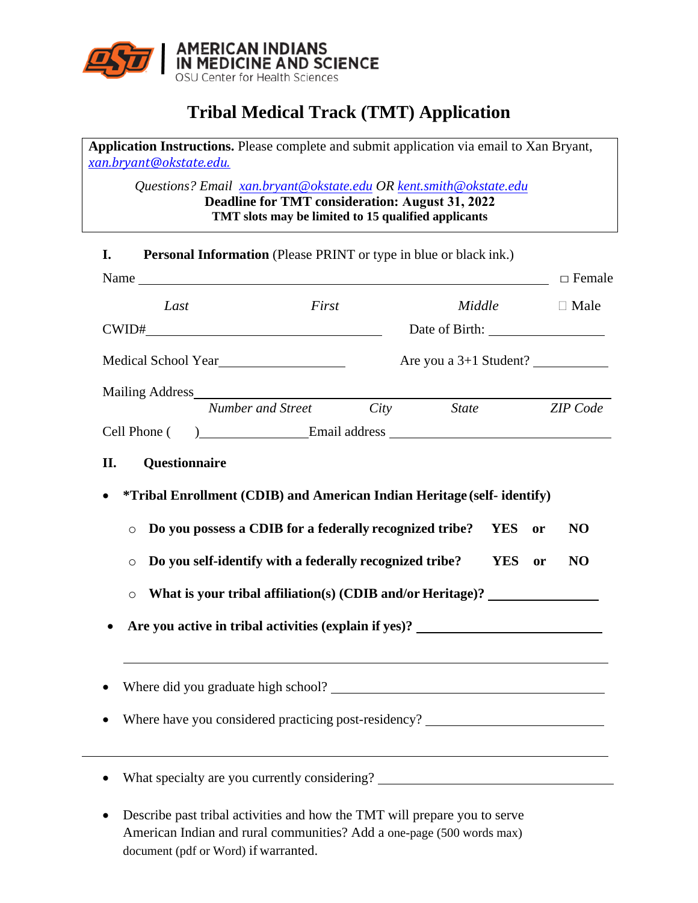

## **Tribal Medical Track (TMT) Application**

**Application Instructions.** Please complete and submit application via email to Xan Bryant, *[xan.bryant@okstate.edu.](mailto:xan.bryant@okstate.edu)*

*Questions? Email xan.b[ryant@okstate.edu](mailto:xan.bryant@okstate.edu) OR kent.s[mith@okstate.edu](mailto:kent.smith@okstate.edu)* **Deadline for TMT consideration: August 31, 2022 TMT slots may be limited to 15 qualified applicants** 

| I.                            | Personal Information (Please PRINT or type in blue or black ink.)                                                                                                                                      |       |        |                                                                                                                                                                                                                                    |
|-------------------------------|--------------------------------------------------------------------------------------------------------------------------------------------------------------------------------------------------------|-------|--------|------------------------------------------------------------------------------------------------------------------------------------------------------------------------------------------------------------------------------------|
|                               |                                                                                                                                                                                                        |       |        | $\Box$ Female                                                                                                                                                                                                                      |
| Last                          |                                                                                                                                                                                                        | First | Middle | $\Box$ Male                                                                                                                                                                                                                        |
|                               |                                                                                                                                                                                                        |       |        |                                                                                                                                                                                                                                    |
|                               | Medical School Year                                                                                                                                                                                    |       |        | Are you a 3+1 Student?                                                                                                                                                                                                             |
|                               | Number and Street City State                                                                                                                                                                           |       |        | <b>ZIP</b> Code                                                                                                                                                                                                                    |
| Cell Phone (                  |                                                                                                                                                                                                        |       |        | <u>Email address</u> explored and the series of the series of the series of the series of the series of the series of the series of the series of the series of the series of the series of the series of the series of the series |
| Questionnaire<br>II.          |                                                                                                                                                                                                        |       |        |                                                                                                                                                                                                                                    |
| $\circ$<br>$\circ$<br>$\circ$ | Do you possess a CDIB for a federally recognized tribe?<br>Do you self-identify with a federally recognized tribe?<br>What is your tribal affiliation(s) (CDIB and/or Heritage)? _____________________ |       |        | <b>YES</b><br>N <sub>O</sub><br>or<br><b>YES</b><br>NO<br>or<br>Are you active in tribal activities (explain if yes)? __________________________                                                                                   |
|                               | Where did you graduate high school?                                                                                                                                                                    |       |        |                                                                                                                                                                                                                                    |
|                               |                                                                                                                                                                                                        |       |        | Where have you considered practicing post-residency? ___________________________                                                                                                                                                   |
|                               | What specialty are you currently considering? __________________________________                                                                                                                       |       |        |                                                                                                                                                                                                                                    |
|                               | Describe past tribal activities and how the TMT will prepare you to serve                                                                                                                              |       |        |                                                                                                                                                                                                                                    |

American Indian and rural communities? Add a one-page (500 words max) document (pdf or Word) if warranted.